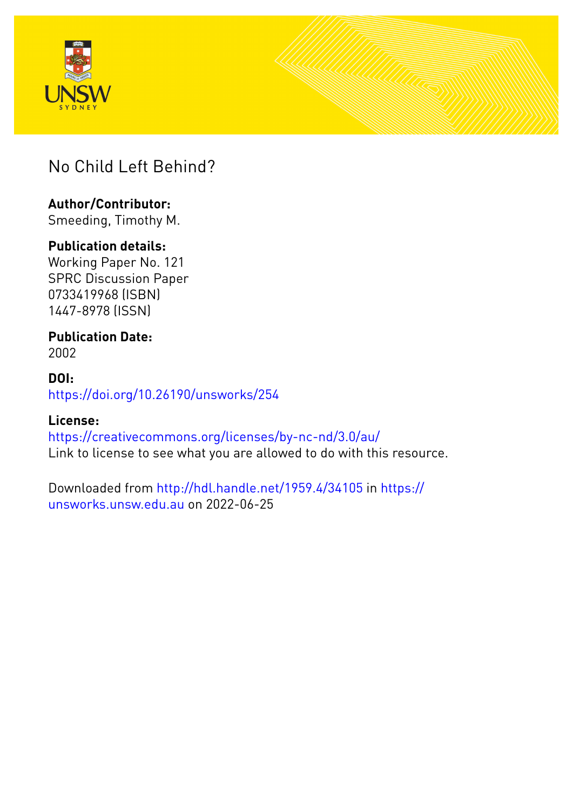



## No Child Left Behind?

## **Author/Contributor:**

Smeeding, Timothy M.

#### **Publication details:**

Working Paper No. 121 SPRC Discussion Paper 0733419968 (ISBN) 1447-8978 (ISSN)

# **Publication Date:**

2002

#### **DOI:** [https://doi.org/10.26190/unsworks/254](http://dx.doi.org/https://doi.org/10.26190/unsworks/254)

#### **License:**

<https://creativecommons.org/licenses/by-nc-nd/3.0/au/> Link to license to see what you are allowed to do with this resource.

Downloaded from <http://hdl.handle.net/1959.4/34105> in [https://](https://unsworks.unsw.edu.au) [unsworks.unsw.edu.au](https://unsworks.unsw.edu.au) on 2022-06-25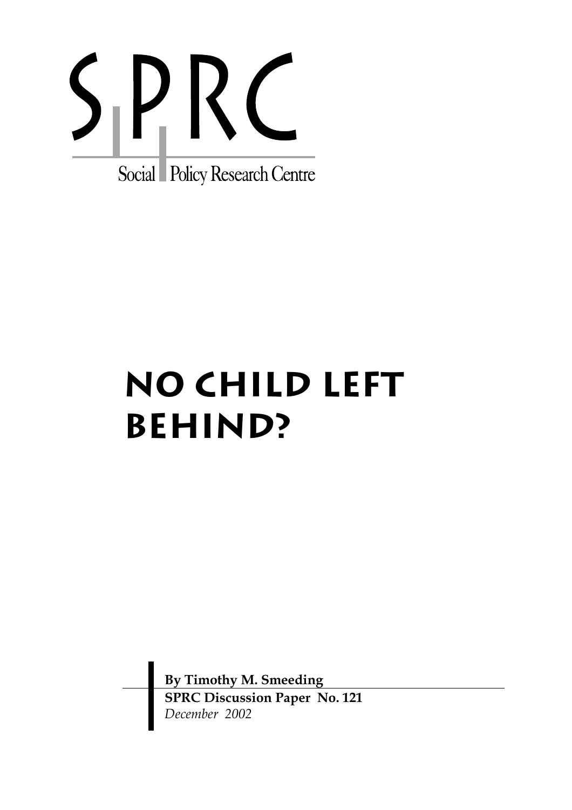

# **NO CHILD LEFT BEHIND?**

**By Timothy M. Smeeding SPRC Discussion Paper No. 121**  *December 2002*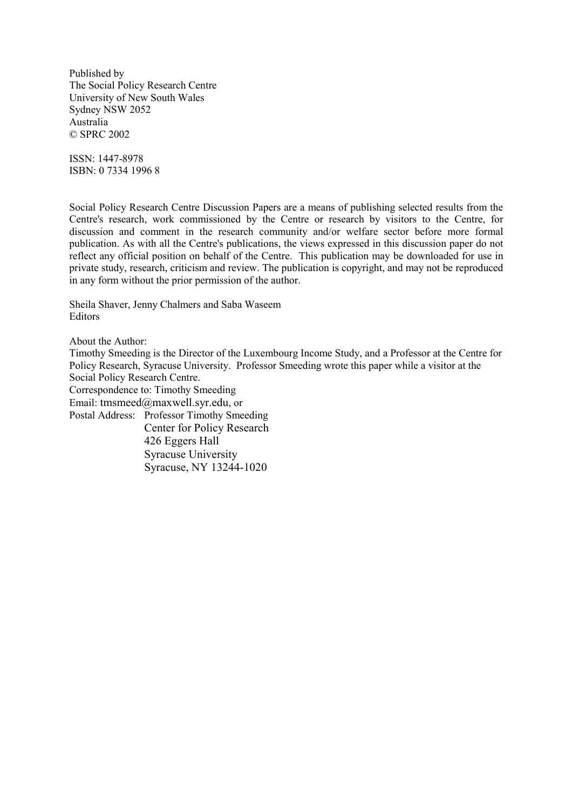Published by The Social Policy Research Centre University of New South Wales Sydney NSW 2052 Australia © SPRC 2002

ISSN: 1447-8978 ISBN: 0 7334 1996 8

Social Policy Research Centre Discussion Papers are a means of publishing selected results from the Centre's research, work commissioned by the Centre or research by visitors to the Centre, for discussion and comment in the research community and/or welfare sector before more formal publication. As with all the Centre's publications, the views expressed in this discussion paper do not reflect any official position on behalf of the Centre. This publication may be downloaded for use in private study, research, criticism and review. The publication is copyright, and may not be reproduced in any form without the prior permission of the author.

Sheila Shaver, Jenny Chalmers and Saba Waseem **Editors** 

About the Author:

Timothy Smeeding is the Director of the Luxembourg Income Study, and a Professor at the Centre for Policy Research, Syracuse University. Professor Smeeding wrote this paper while a visitor at the Social Policy Research Centre. Correspondence to: Timothy Smeeding Email: tmsmeed@maxwell.syr.edu, or Postal Address: Professor Timothy Smeeding Center for Policy Research 426 Eggers Hall Syracuse University Syracuse, NY 13244-1020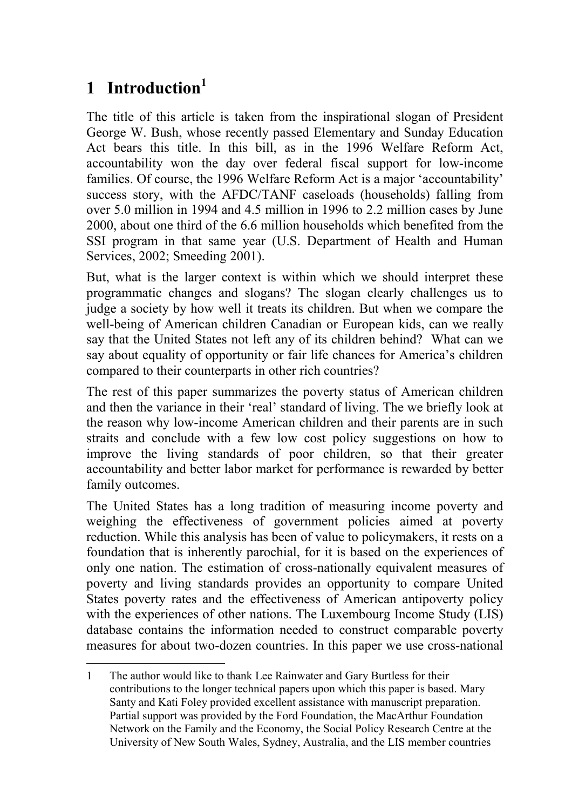# **1 Introduction<sup>1</sup>**

The title of this article is taken from the inspirational slogan of President George W. Bush, whose recently passed Elementary and Sunday Education Act bears this title. In this bill, as in the 1996 Welfare Reform Act, accountability won the day over federal fiscal support for low-income families. Of course, the 1996 Welfare Reform Act is a major 'accountability' success story, with the AFDC/TANF caseloads (households) falling from over 5.0 million in 1994 and 4.5 million in 1996 to 2.2 million cases by June 2000, about one third of the 6.6 million households which benefited from the SSI program in that same year (U.S. Department of Health and Human Services, 2002; Smeeding 2001).

But, what is the larger context is within which we should interpret these programmatic changes and slogans? The slogan clearly challenges us to judge a society by how well it treats its children. But when we compare the well-being of American children Canadian or European kids, can we really say that the United States not left any of its children behind? What can we say about equality of opportunity or fair life chances for America's children compared to their counterparts in other rich countries?

The rest of this paper summarizes the poverty status of American children and then the variance in their 'real' standard of living. The we briefly look at the reason why low-income American children and their parents are in such straits and conclude with a few low cost policy suggestions on how to improve the living standards of poor children, so that their greater accountability and better labor market for performance is rewarded by better family outcomes.

The United States has a long tradition of measuring income poverty and weighing the effectiveness of government policies aimed at poverty reduction. While this analysis has been of value to policymakers, it rests on a foundation that is inherently parochial, for it is based on the experiences of only one nation. The estimation of cross-nationally equivalent measures of poverty and living standards provides an opportunity to compare United States poverty rates and the effectiveness of American antipoverty policy with the experiences of other nations. The Luxembourg Income Study (LIS) database contains the information needed to construct comparable poverty measures for about two-dozen countries. In this paper we use cross-national

<sup>1</sup> The author would like to thank Lee Rainwater and Gary Burtless for their contributions to the longer technical papers upon which this paper is based. Mary Santy and Kati Foley provided excellent assistance with manuscript preparation. Partial support was provided by the Ford Foundation, the MacArthur Foundation Network on the Family and the Economy, the Social Policy Research Centre at the University of New South Wales, Sydney, Australia, and the LIS member countries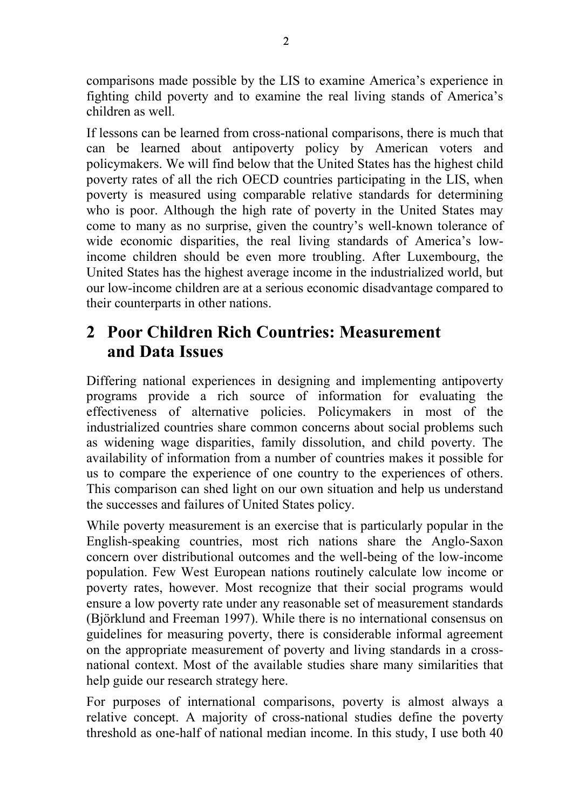comparisons made possible by the LIS to examine America's experience in fighting child poverty and to examine the real living stands of America's children as well.

If lessons can be learned from cross-national comparisons, there is much that can be learned about antipoverty policy by American voters and policymakers. We will find below that the United States has the highest child poverty rates of all the rich OECD countries participating in the LIS, when poverty is measured using comparable relative standards for determining who is poor. Although the high rate of poverty in the United States may come to many as no surprise, given the country's well-known tolerance of wide economic disparities, the real living standards of America's lowincome children should be even more troubling. After Luxembourg, the United States has the highest average income in the industrialized world, but our low-income children are at a serious economic disadvantage compared to their counterparts in other nations.

## **2 Poor Children Rich Countries: Measurement and Data Issues**

Differing national experiences in designing and implementing antipoverty programs provide a rich source of information for evaluating the effectiveness of alternative policies. Policymakers in most of the industrialized countries share common concerns about social problems such as widening wage disparities, family dissolution, and child poverty. The availability of information from a number of countries makes it possible for us to compare the experience of one country to the experiences of others. This comparison can shed light on our own situation and help us understand the successes and failures of United States policy.

While poverty measurement is an exercise that is particularly popular in the English-speaking countries, most rich nations share the Anglo-Saxon concern over distributional outcomes and the well-being of the low-income population. Few West European nations routinely calculate low income or poverty rates, however. Most recognize that their social programs would ensure a low poverty rate under any reasonable set of measurement standards (Björklund and Freeman 1997). While there is no international consensus on guidelines for measuring poverty, there is considerable informal agreement on the appropriate measurement of poverty and living standards in a crossnational context. Most of the available studies share many similarities that help guide our research strategy here.

For purposes of international comparisons, poverty is almost always a relative concept. A majority of cross-national studies define the poverty threshold as one-half of national median income. In this study, I use both 40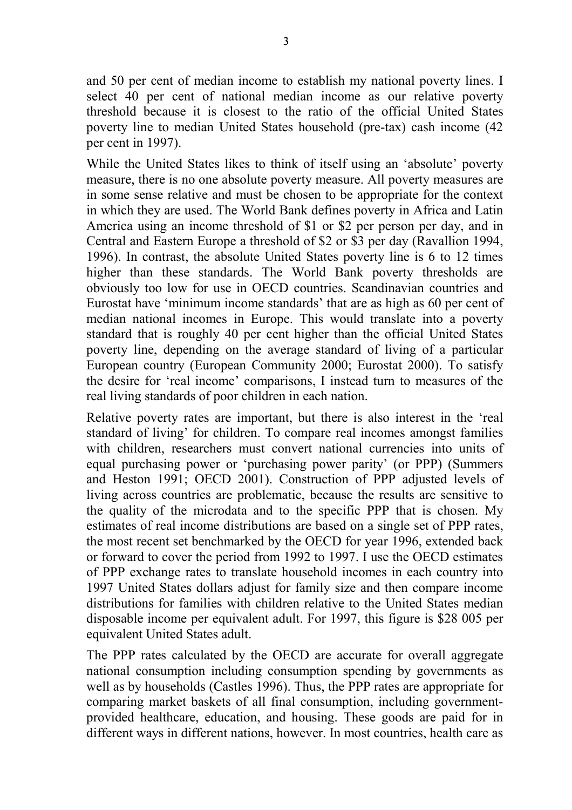and 50 per cent of median income to establish my national poverty lines. I select 40 per cent of national median income as our relative poverty threshold because it is closest to the ratio of the official United States poverty line to median United States household (pre-tax) cash income (42 per cent in 1997).

While the United States likes to think of itself using an 'absolute' poverty measure, there is no one absolute poverty measure. All poverty measures are in some sense relative and must be chosen to be appropriate for the context in which they are used. The World Bank defines poverty in Africa and Latin America using an income threshold of \$1 or \$2 per person per day, and in Central and Eastern Europe a threshold of \$2 or \$3 per day (Ravallion 1994, 1996). In contrast, the absolute United States poverty line is 6 to 12 times higher than these standards. The World Bank poverty thresholds are obviously too low for use in OECD countries. Scandinavian countries and Eurostat have 'minimum income standards' that are as high as 60 per cent of median national incomes in Europe. This would translate into a poverty standard that is roughly 40 per cent higher than the official United States poverty line, depending on the average standard of living of a particular European country (European Community 2000; Eurostat 2000). To satisfy the desire for 'real income' comparisons, I instead turn to measures of the real living standards of poor children in each nation.

Relative poverty rates are important, but there is also interest in the 'real standard of living' for children. To compare real incomes amongst families with children, researchers must convert national currencies into units of equal purchasing power or 'purchasing power parity' (or PPP) (Summers and Heston 1991; OECD 2001). Construction of PPP adjusted levels of living across countries are problematic, because the results are sensitive to the quality of the microdata and to the specific PPP that is chosen. My estimates of real income distributions are based on a single set of PPP rates, the most recent set benchmarked by the OECD for year 1996, extended back or forward to cover the period from 1992 to 1997. I use the OECD estimates of PPP exchange rates to translate household incomes in each country into 1997 United States dollars adjust for family size and then compare income distributions for families with children relative to the United States median disposable income per equivalent adult. For 1997, this figure is \$28 005 per equivalent United States adult.

The PPP rates calculated by the OECD are accurate for overall aggregate national consumption including consumption spending by governments as well as by households (Castles 1996). Thus, the PPP rates are appropriate for comparing market baskets of all final consumption, including governmentprovided healthcare, education, and housing. These goods are paid for in different ways in different nations, however. In most countries, health care as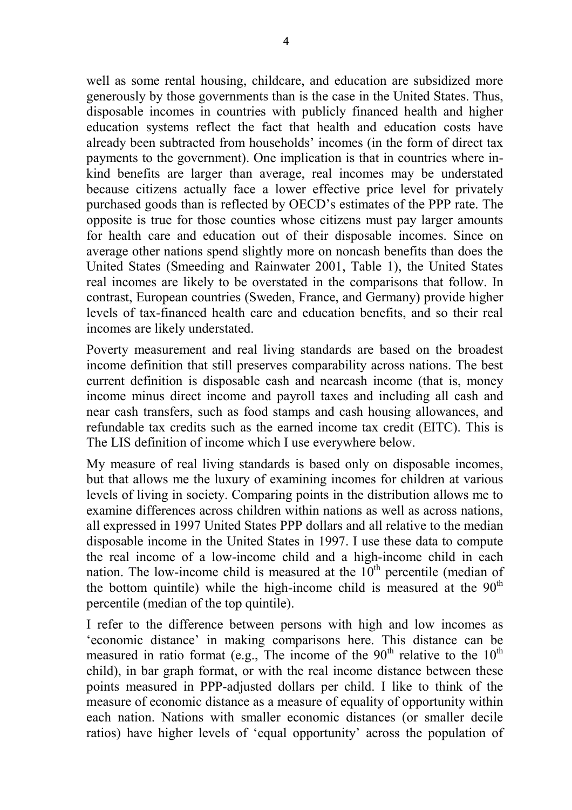well as some rental housing, childcare, and education are subsidized more generously by those governments than is the case in the United States. Thus, disposable incomes in countries with publicly financed health and higher education systems reflect the fact that health and education costs have already been subtracted from households' incomes (in the form of direct tax payments to the government). One implication is that in countries where inkind benefits are larger than average, real incomes may be understated because citizens actually face a lower effective price level for privately purchased goods than is reflected by OECD's estimates of the PPP rate. The opposite is true for those counties whose citizens must pay larger amounts for health care and education out of their disposable incomes. Since on average other nations spend slightly more on noncash benefits than does the United States (Smeeding and Rainwater 2001, Table 1), the United States real incomes are likely to be overstated in the comparisons that follow. In contrast, European countries (Sweden, France, and Germany) provide higher levels of tax-financed health care and education benefits, and so their real incomes are likely understated.

Poverty measurement and real living standards are based on the broadest income definition that still preserves comparability across nations. The best current definition is disposable cash and nearcash income (that is, money income minus direct income and payroll taxes and including all cash and near cash transfers, such as food stamps and cash housing allowances, and refundable tax credits such as the earned income tax credit (EITC). This is The LIS definition of income which I use everywhere below.

My measure of real living standards is based only on disposable incomes, but that allows me the luxury of examining incomes for children at various levels of living in society. Comparing points in the distribution allows me to examine differences across children within nations as well as across nations, all expressed in 1997 United States PPP dollars and all relative to the median disposable income in the United States in 1997. I use these data to compute the real income of a low-income child and a high-income child in each nation. The low-income child is measured at the  $10<sup>th</sup>$  percentile (median of the bottom quintile) while the high-income child is measured at the  $90<sup>th</sup>$ percentile (median of the top quintile).

I refer to the difference between persons with high and low incomes as 'economic distance' in making comparisons here. This distance can be measured in ratio format (e.g., The income of the  $90<sup>th</sup>$  relative to the  $10<sup>th</sup>$ child), in bar graph format, or with the real income distance between these points measured in PPP-adjusted dollars per child. I like to think of the measure of economic distance as a measure of equality of opportunity within each nation. Nations with smaller economic distances (or smaller decile ratios) have higher levels of 'equal opportunity' across the population of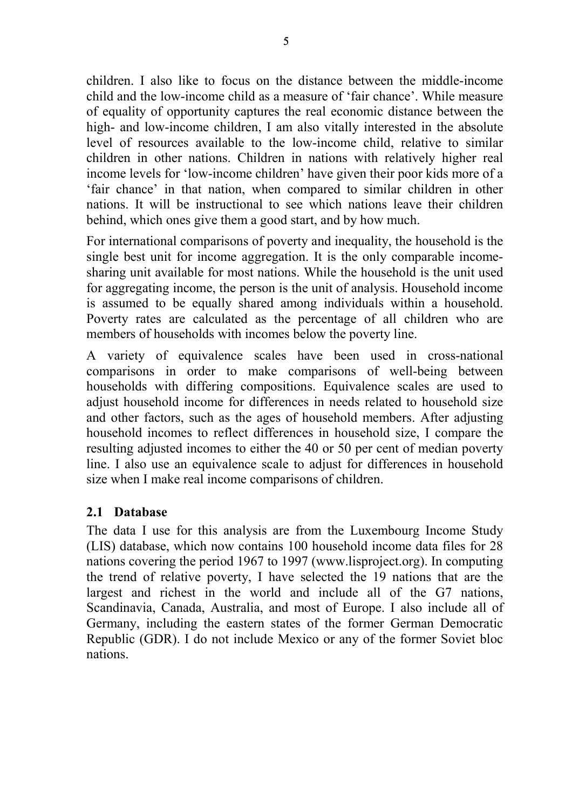children. I also like to focus on the distance between the middle-income child and the low-income child as a measure of 'fair chance'. While measure of equality of opportunity captures the real economic distance between the high- and low-income children, I am also vitally interested in the absolute level of resources available to the low-income child, relative to similar children in other nations. Children in nations with relatively higher real income levels for 'low-income children' have given their poor kids more of a 'fair chance' in that nation, when compared to similar children in other nations. It will be instructional to see which nations leave their children behind, which ones give them a good start, and by how much.

For international comparisons of poverty and inequality, the household is the single best unit for income aggregation. It is the only comparable incomesharing unit available for most nations. While the household is the unit used for aggregating income, the person is the unit of analysis. Household income is assumed to be equally shared among individuals within a household. Poverty rates are calculated as the percentage of all children who are members of households with incomes below the poverty line.

A variety of equivalence scales have been used in cross-national comparisons in order to make comparisons of well-being between households with differing compositions. Equivalence scales are used to adjust household income for differences in needs related to household size and other factors, such as the ages of household members. After adjusting household incomes to reflect differences in household size, I compare the resulting adjusted incomes to either the 40 or 50 per cent of median poverty line. I also use an equivalence scale to adjust for differences in household size when I make real income comparisons of children.

#### **2.1 Database**

The data I use for this analysis are from the Luxembourg Income Study (LIS) database, which now contains 100 household income data files for 28 nations covering the period 1967 to 1997 (www.lisproject.org). In computing the trend of relative poverty, I have selected the 19 nations that are the largest and richest in the world and include all of the G7 nations, Scandinavia, Canada, Australia, and most of Europe. I also include all of Germany, including the eastern states of the former German Democratic Republic (GDR). I do not include Mexico or any of the former Soviet bloc nations.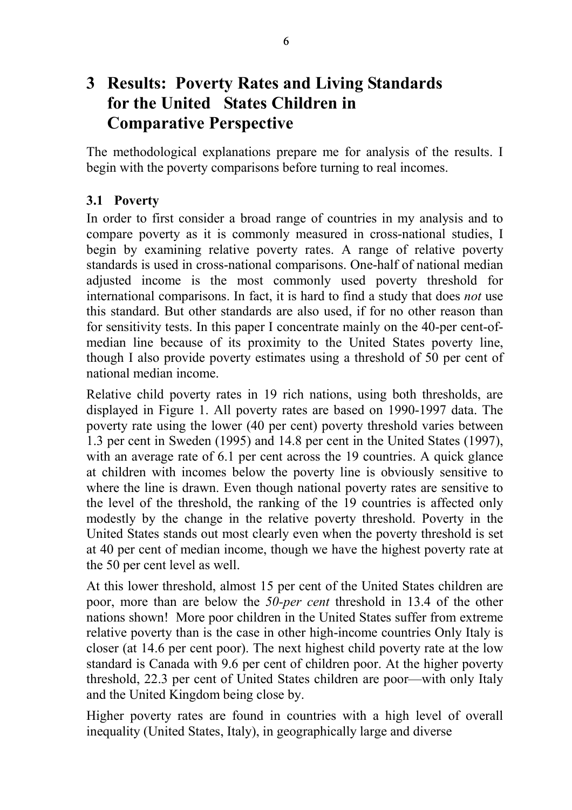## **3 Results: Poverty Rates and Living Standards for the United States Children in Comparative Perspective**

The methodological explanations prepare me for analysis of the results. I begin with the poverty comparisons before turning to real incomes.

#### **3.1 Poverty**

In order to first consider a broad range of countries in my analysis and to compare poverty as it is commonly measured in cross-national studies, I begin by examining relative poverty rates. A range of relative poverty standards is used in cross-national comparisons. One-half of national median adjusted income is the most commonly used poverty threshold for international comparisons. In fact, it is hard to find a study that does *not* use this standard. But other standards are also used, if for no other reason than for sensitivity tests. In this paper I concentrate mainly on the 40-per cent-ofmedian line because of its proximity to the United States poverty line, though I also provide poverty estimates using a threshold of 50 per cent of national median income.

Relative child poverty rates in 19 rich nations, using both thresholds, are displayed in Figure 1. All poverty rates are based on 1990-1997 data. The poverty rate using the lower (40 per cent) poverty threshold varies between 1.3 per cent in Sweden (1995) and 14.8 per cent in the United States (1997), with an average rate of 6.1 per cent across the 19 countries. A quick glance at children with incomes below the poverty line is obviously sensitive to where the line is drawn. Even though national poverty rates are sensitive to the level of the threshold, the ranking of the 19 countries is affected only modestly by the change in the relative poverty threshold. Poverty in the United States stands out most clearly even when the poverty threshold is set at 40 per cent of median income, though we have the highest poverty rate at the 50 per cent level as well.

At this lower threshold, almost 15 per cent of the United States children are poor, more than are below the *50-per cent* threshold in 13.4 of the other nations shown! More poor children in the United States suffer from extreme relative poverty than is the case in other high-income countries Only Italy is closer (at 14.6 per cent poor). The next highest child poverty rate at the low standard is Canada with 9.6 per cent of children poor. At the higher poverty threshold, 22.3 per cent of United States children are poor—with only Italy and the United Kingdom being close by.

Higher poverty rates are found in countries with a high level of overall inequality (United States, Italy), in geographically large and diverse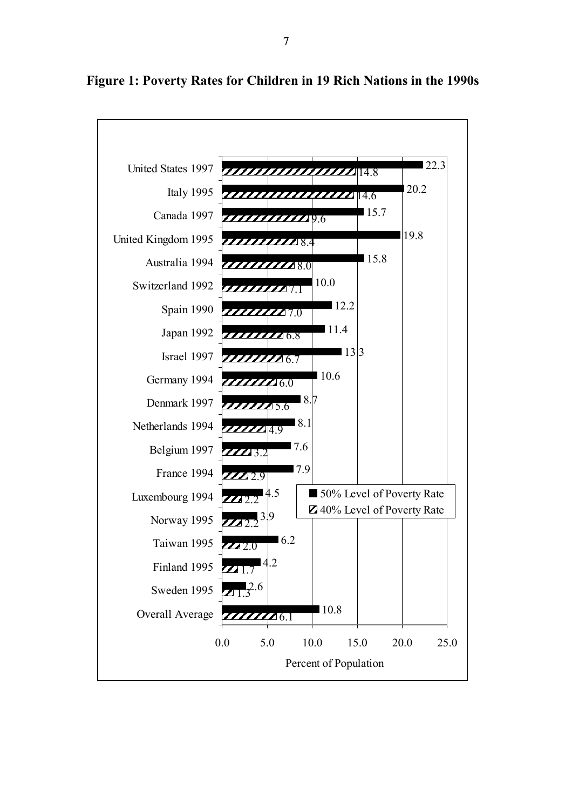

#### **Figure 1: Poverty Rates for Children in 19 Rich Nations in the 1990s**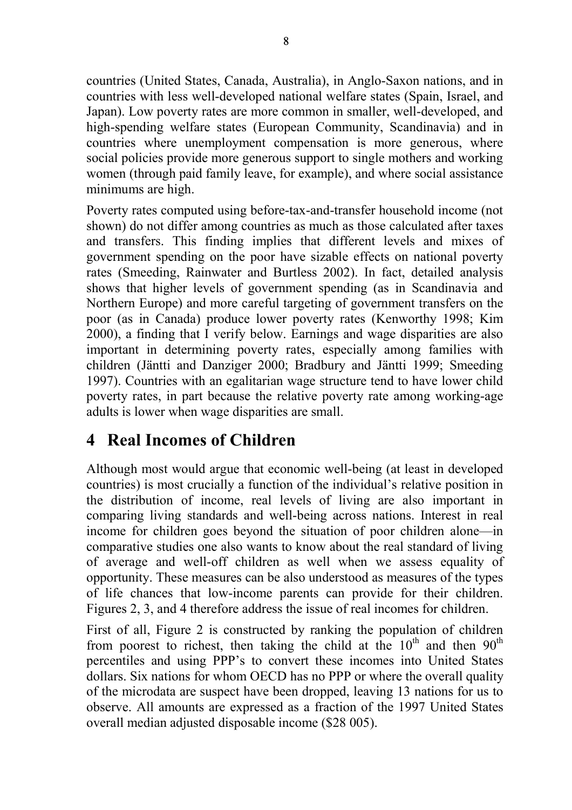countries (United States, Canada, Australia), in Anglo-Saxon nations, and in countries with less well-developed national welfare states (Spain, Israel, and Japan). Low poverty rates are more common in smaller, well-developed, and high-spending welfare states (European Community, Scandinavia) and in countries where unemployment compensation is more generous, where social policies provide more generous support to single mothers and working women (through paid family leave, for example), and where social assistance minimums are high.

Poverty rates computed using before-tax-and-transfer household income (not shown) do not differ among countries as much as those calculated after taxes and transfers. This finding implies that different levels and mixes of government spending on the poor have sizable effects on national poverty rates (Smeeding, Rainwater and Burtless 2002). In fact, detailed analysis shows that higher levels of government spending (as in Scandinavia and Northern Europe) and more careful targeting of government transfers on the poor (as in Canada) produce lower poverty rates (Kenworthy 1998; Kim 2000), a finding that I verify below. Earnings and wage disparities are also important in determining poverty rates, especially among families with children (Jäntti and Danziger 2000; Bradbury and Jäntti 1999; Smeeding 1997). Countries with an egalitarian wage structure tend to have lower child poverty rates, in part because the relative poverty rate among working-age adults is lower when wage disparities are small.

## **4 Real Incomes of Children**

Although most would argue that economic well-being (at least in developed countries) is most crucially a function of the individual's relative position in the distribution of income, real levels of living are also important in comparing living standards and well-being across nations. Interest in real income for children goes beyond the situation of poor children alone—in comparative studies one also wants to know about the real standard of living of average and well-off children as well when we assess equality of opportunity. These measures can be also understood as measures of the types of life chances that low-income parents can provide for their children. Figures 2, 3, and 4 therefore address the issue of real incomes for children.

First of all, Figure 2 is constructed by ranking the population of children from poorest to richest, then taking the child at the  $10<sup>th</sup>$  and then  $90<sup>th</sup>$ percentiles and using PPP's to convert these incomes into United States dollars. Six nations for whom OECD has no PPP or where the overall quality of the microdata are suspect have been dropped, leaving 13 nations for us to observe. All amounts are expressed as a fraction of the 1997 United States overall median adjusted disposable income (\$28 005).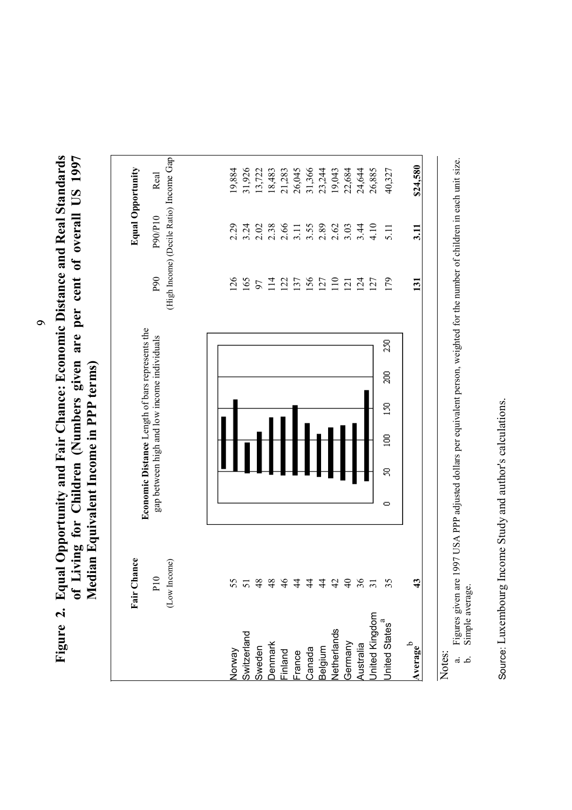Figure 2. Equal Opportunity and Fair Chance: Economic Distance and Real Standards<br>of Living for Children (Numbers given are per cent of overall US 1997<br>Median Equivalent Income in PPP terms) **Figure 2. Equal Opportunity and Fair Chance: Economic Distance and Real Standards of Living for Children (Numbers given are per cent of overall US 1997 Median Equivalent Income in PPP terms)** 

|                                                       | Fair Chance<br>(Low Income)<br>P10 |   | Economic Distance Length of bars represents the<br>gap between high and low income individuals |   |   |   |               | P <sub>90</sub> | (High Income) (Decile Ratio) Income Gap<br>P90/P10 | <b>Equal Opportunity</b><br>Real |
|-------------------------------------------------------|------------------------------------|---|------------------------------------------------------------------------------------------------|---|---|---|---------------|-----------------|----------------------------------------------------|----------------------------------|
|                                                       |                                    |   |                                                                                                |   |   |   |               |                 |                                                    |                                  |
|                                                       | 55                                 |   |                                                                                                |   |   |   |               | 126             | 2.29                                               | 19,884                           |
| Norway<br>Switzerland<br>Sweden<br>Denmark<br>Finland |                                    |   |                                                                                                |   |   |   |               | 165             | 3.24                                               | 31,926                           |
|                                                       |                                    |   |                                                                                                |   |   |   |               |                 | 2.02                                               | 13,722                           |
|                                                       |                                    |   |                                                                                                |   |   |   |               | $97$<br>114     | 2.38                                               | 18,483                           |
|                                                       | 38444                              |   |                                                                                                |   |   |   |               | 122             | 2.66                                               | 21,283                           |
| France                                                |                                    |   |                                                                                                |   |   |   |               | 137             | 3.11                                               | 26,045                           |
| Canada                                                |                                    |   |                                                                                                |   |   |   |               | 156             |                                                    | 31,366                           |
| Belgium<br>Netherlands                                | 443382                             |   |                                                                                                |   |   |   |               | 127             | $3.55$<br>$2.89$                                   | 23,244                           |
|                                                       |                                    |   |                                                                                                |   |   |   |               | 110             | 2.62                                               | 19,043                           |
|                                                       |                                    |   |                                                                                                |   |   |   |               | 121             | 3.03                                               | 22,684                           |
|                                                       |                                    |   |                                                                                                |   |   |   |               | 124             | 3.44                                               | 24,644                           |
| Germany<br>Australia<br>United Kingdom                |                                    |   |                                                                                                |   |   |   |               | 127             | 4.10                                               | 26,885                           |
| United States <sup>a</sup>                            | 35                                 | ¢ | g                                                                                              | g | S | g | $\frac{5}{2}$ | 179             | 5.11                                               | 40,327                           |
| Average                                               | $\boldsymbol{\mathcal{L}}$         |   |                                                                                                |   |   |   |               | 131             | $\overline{3}$ .                                   | \$24,580                         |

Notes:<br>a. Figures given are 1997 USA PPP adjusted dollars per equivalent person, weighted for the number of children in each unit size.<br>b. Simple average. b. Simple average.

a. Figures given are 1997 USA PPP adjusted dollars per equivalent person, weighted for the number of children in each unit size.

Source: Luxembourg Income Study and author's calculations. Source: Luxembourg Income Study and author's calculations.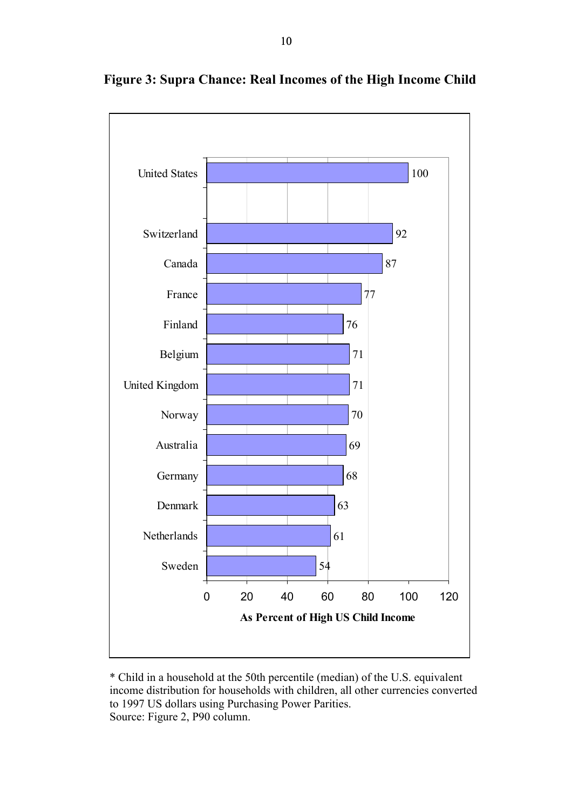

**Figure 3: Supra Chance: Real Incomes of the High Income Child** 

\* Child in a household at the 50th percentile (median) of the U.S. equivalent income distribution for households with children, all other currencies converted to 1997 US dollars using Purchasing Power Parities. Source: Figure 2, P90 column.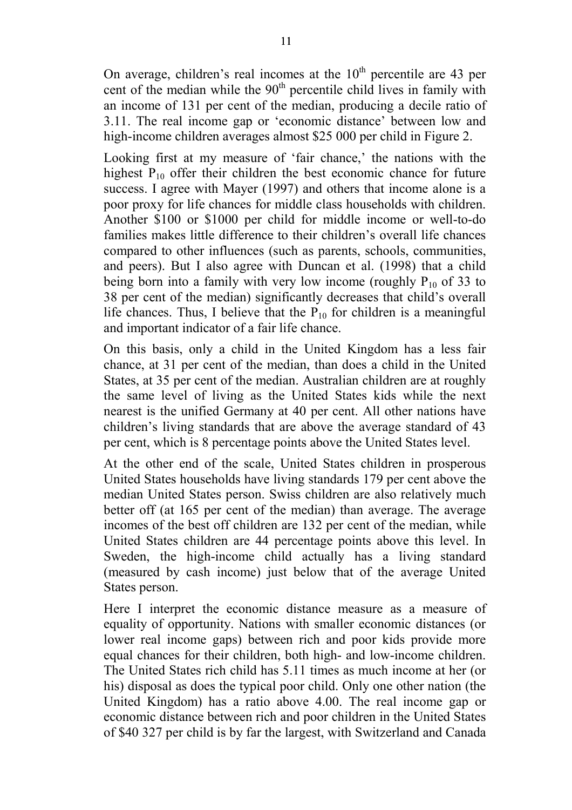On average, children's real incomes at the  $10<sup>th</sup>$  percentile are 43 per cent of the median while the 90<sup>th</sup> percentile child lives in family with an income of 131 per cent of the median, producing a decile ratio of 3.11. The real income gap or 'economic distance' between low and high-income children averages almost \$25 000 per child in Figure 2.

Looking first at my measure of 'fair chance,' the nations with the highest  $P_{10}$  offer their children the best economic chance for future success. I agree with Mayer (1997) and others that income alone is a poor proxy for life chances for middle class households with children. Another \$100 or \$1000 per child for middle income or well-to-do families makes little difference to their children's overall life chances compared to other influences (such as parents, schools, communities, and peers). But I also agree with Duncan et al. (1998) that a child being born into a family with very low income (roughly  $P_{10}$  of 33 to 38 per cent of the median) significantly decreases that child's overall life chances. Thus, I believe that the  $P_{10}$  for children is a meaningful and important indicator of a fair life chance.

On this basis, only a child in the United Kingdom has a less fair chance, at 31 per cent of the median, than does a child in the United States, at 35 per cent of the median. Australian children are at roughly the same level of living as the United States kids while the next nearest is the unified Germany at 40 per cent. All other nations have children's living standards that are above the average standard of 43 per cent, which is 8 percentage points above the United States level.

At the other end of the scale, United States children in prosperous United States households have living standards 179 per cent above the median United States person. Swiss children are also relatively much better off (at 165 per cent of the median) than average. The average incomes of the best off children are 132 per cent of the median, while United States children are 44 percentage points above this level. In Sweden, the high-income child actually has a living standard (measured by cash income) just below that of the average United States person.

Here I interpret the economic distance measure as a measure of equality of opportunity. Nations with smaller economic distances (or lower real income gaps) between rich and poor kids provide more equal chances for their children, both high- and low-income children. The United States rich child has 5.11 times as much income at her (or his) disposal as does the typical poor child. Only one other nation (the United Kingdom) has a ratio above 4.00. The real income gap or economic distance between rich and poor children in the United States of \$40 327 per child is by far the largest, with Switzerland and Canada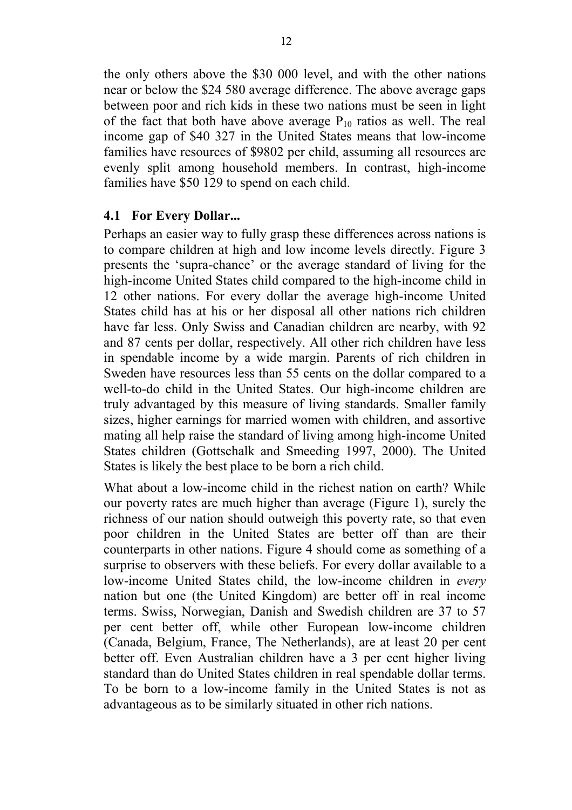the only others above the \$30 000 level, and with the other nations near or below the \$24 580 average difference. The above average gaps between poor and rich kids in these two nations must be seen in light of the fact that both have above average  $P_{10}$  ratios as well. The real income gap of \$40 327 in the United States means that low-income families have resources of \$9802 per child, assuming all resources are evenly split among household members. In contrast, high-income families have \$50 129 to spend on each child.

#### **4.1 For Every Dollar...**

Perhaps an easier way to fully grasp these differences across nations is to compare children at high and low income levels directly. Figure 3 presents the 'supra-chance' or the average standard of living for the high-income United States child compared to the high-income child in 12 other nations. For every dollar the average high-income United States child has at his or her disposal all other nations rich children have far less. Only Swiss and Canadian children are nearby, with 92 and 87 cents per dollar, respectively. All other rich children have less in spendable income by a wide margin. Parents of rich children in Sweden have resources less than 55 cents on the dollar compared to a well-to-do child in the United States. Our high-income children are truly advantaged by this measure of living standards. Smaller family sizes, higher earnings for married women with children, and assortive mating all help raise the standard of living among high-income United States children (Gottschalk and Smeeding 1997, 2000). The United States is likely the best place to be born a rich child.

What about a low-income child in the richest nation on earth? While our poverty rates are much higher than average (Figure 1), surely the richness of our nation should outweigh this poverty rate, so that even poor children in the United States are better off than are their counterparts in other nations. Figure 4 should come as something of a surprise to observers with these beliefs. For every dollar available to a low-income United States child, the low-income children in *every* nation but one (the United Kingdom) are better off in real income terms. Swiss, Norwegian, Danish and Swedish children are 37 to 57 per cent better off, while other European low-income children (Canada, Belgium, France, The Netherlands), are at least 20 per cent better off. Even Australian children have a 3 per cent higher living standard than do United States children in real spendable dollar terms. To be born to a low-income family in the United States is not as advantageous as to be similarly situated in other rich nations.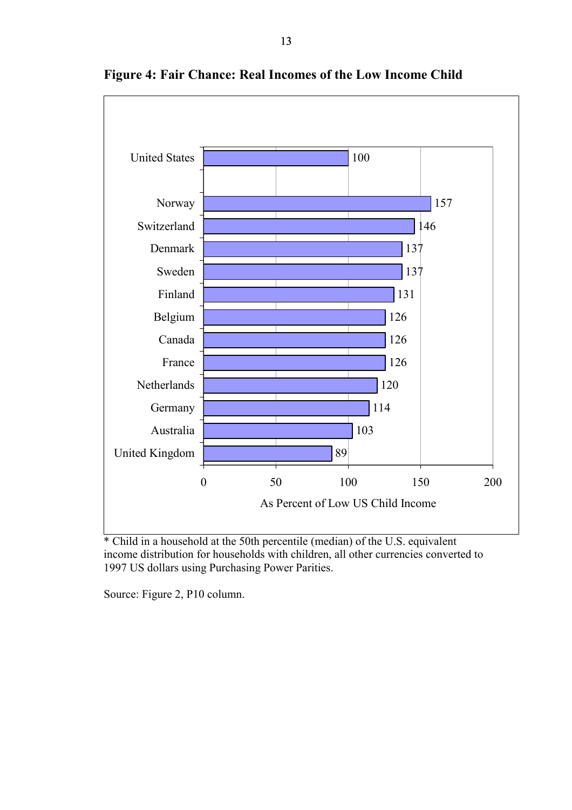

**Figure 4: Fair Chance: Real Incomes of the Low Income Child** 

\* Child in a household at the 50th percentile (median) of the U.S. equivalent income distribution for households with children, all other currencies converted to 1997 US dollars using Purchasing Power Parities.

Source: Figure 2, P10 column.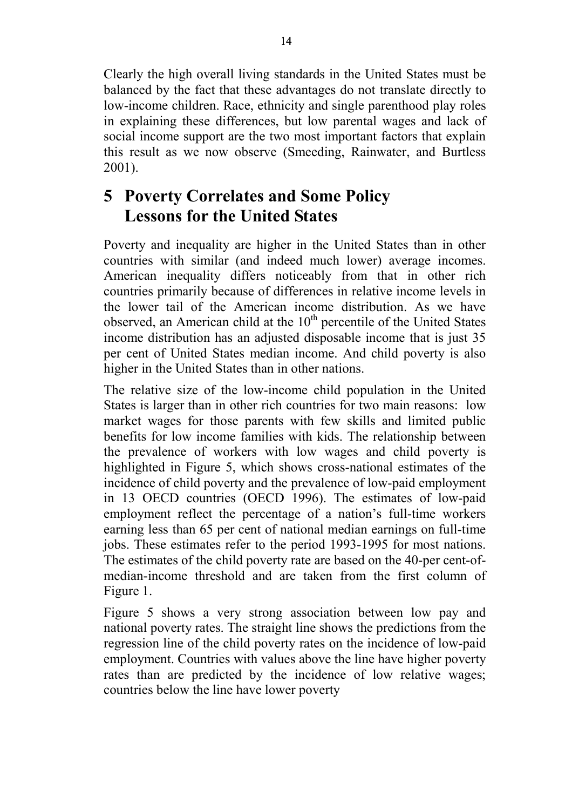Clearly the high overall living standards in the United States must be balanced by the fact that these advantages do not translate directly to low-income children. Race, ethnicity and single parenthood play roles in explaining these differences, but low parental wages and lack of social income support are the two most important factors that explain this result as we now observe (Smeeding, Rainwater, and Burtless 2001).

## **5 Poverty Correlates and Some Policy Lessons for the United States**

Poverty and inequality are higher in the United States than in other countries with similar (and indeed much lower) average incomes. American inequality differs noticeably from that in other rich countries primarily because of differences in relative income levels in the lower tail of the American income distribution. As we have observed, an American child at the  $10<sup>th</sup>$  percentile of the United States income distribution has an adjusted disposable income that is just 35 per cent of United States median income. And child poverty is also higher in the United States than in other nations.

The relative size of the low-income child population in the United States is larger than in other rich countries for two main reasons: low market wages for those parents with few skills and limited public benefits for low income families with kids. The relationship between the prevalence of workers with low wages and child poverty is highlighted in Figure 5, which shows cross-national estimates of the incidence of child poverty and the prevalence of low-paid employment in 13 OECD countries (OECD 1996). The estimates of low-paid employment reflect the percentage of a nation's full-time workers earning less than 65 per cent of national median earnings on full-time jobs. These estimates refer to the period 1993-1995 for most nations. The estimates of the child poverty rate are based on the 40-per cent-ofmedian-income threshold and are taken from the first column of Figure 1.

Figure 5 shows a very strong association between low pay and national poverty rates. The straight line shows the predictions from the regression line of the child poverty rates on the incidence of low-paid employment. Countries with values above the line have higher poverty rates than are predicted by the incidence of low relative wages; countries below the line have lower poverty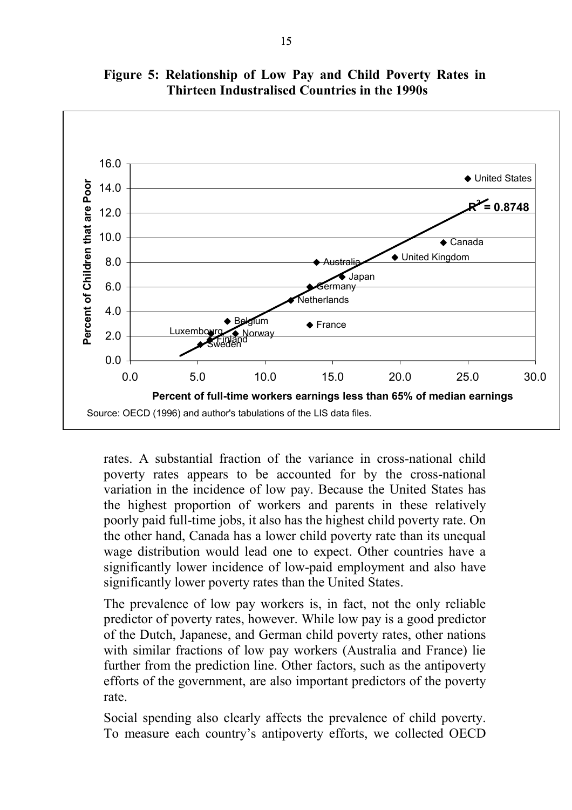

**Figure 5: Relationship of Low Pay and Child Poverty Rates in Thirteen Industralised Countries in the 1990s** 

rates. A substantial fraction of the variance in cross-national child poverty rates appears to be accounted for by the cross-national variation in the incidence of low pay. Because the United States has the highest proportion of workers and parents in these relatively poorly paid full-time jobs, it also has the highest child poverty rate. On the other hand, Canada has a lower child poverty rate than its unequal wage distribution would lead one to expect. Other countries have a significantly lower incidence of low-paid employment and also have significantly lower poverty rates than the United States.

The prevalence of low pay workers is, in fact, not the only reliable predictor of poverty rates, however. While low pay is a good predictor of the Dutch, Japanese, and German child poverty rates, other nations with similar fractions of low pay workers (Australia and France) lie further from the prediction line. Other factors, such as the antipoverty efforts of the government, are also important predictors of the poverty rate.

Social spending also clearly affects the prevalence of child poverty. To measure each country's antipoverty efforts, we collected OECD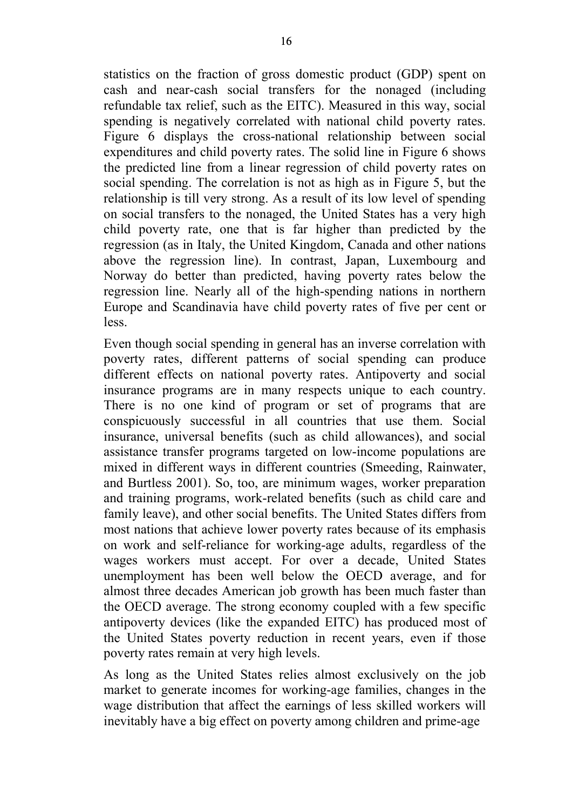statistics on the fraction of gross domestic product (GDP) spent on cash and near-cash social transfers for the nonaged (including refundable tax relief, such as the EITC). Measured in this way, social spending is negatively correlated with national child poverty rates. Figure 6 displays the cross-national relationship between social expenditures and child poverty rates. The solid line in Figure 6 shows the predicted line from a linear regression of child poverty rates on social spending. The correlation is not as high as in Figure 5, but the relationship is till very strong. As a result of its low level of spending on social transfers to the nonaged, the United States has a very high child poverty rate, one that is far higher than predicted by the regression (as in Italy, the United Kingdom, Canada and other nations above the regression line). In contrast, Japan, Luxembourg and Norway do better than predicted, having poverty rates below the regression line. Nearly all of the high-spending nations in northern Europe and Scandinavia have child poverty rates of five per cent or less.

Even though social spending in general has an inverse correlation with poverty rates, different patterns of social spending can produce different effects on national poverty rates. Antipoverty and social insurance programs are in many respects unique to each country. There is no one kind of program or set of programs that are conspicuously successful in all countries that use them. Social insurance, universal benefits (such as child allowances), and social assistance transfer programs targeted on low-income populations are mixed in different ways in different countries (Smeeding, Rainwater, and Burtless 2001). So, too, are minimum wages, worker preparation and training programs, work-related benefits (such as child care and family leave), and other social benefits. The United States differs from most nations that achieve lower poverty rates because of its emphasis on work and self-reliance for working-age adults, regardless of the wages workers must accept. For over a decade, United States unemployment has been well below the OECD average, and for almost three decades American job growth has been much faster than the OECD average. The strong economy coupled with a few specific antipoverty devices (like the expanded EITC) has produced most of the United States poverty reduction in recent years, even if those poverty rates remain at very high levels.

As long as the United States relies almost exclusively on the job market to generate incomes for working-age families, changes in the wage distribution that affect the earnings of less skilled workers will inevitably have a big effect on poverty among children and prime-age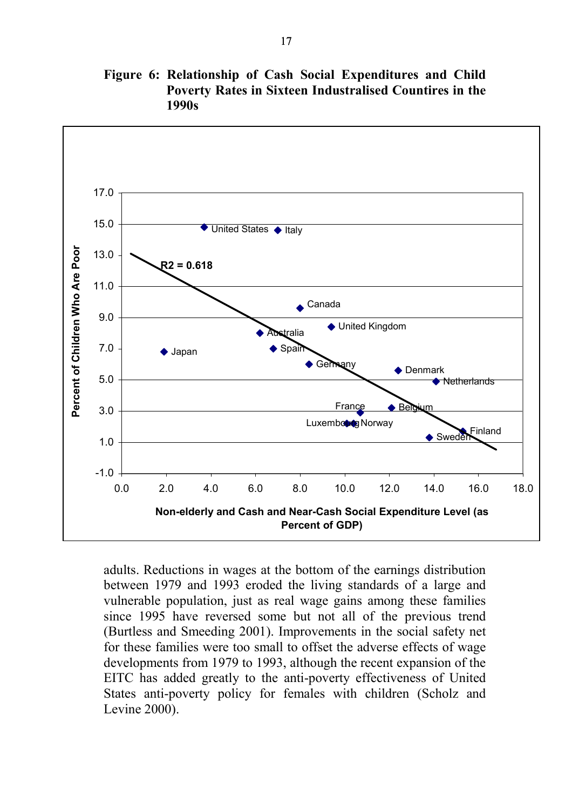

**Figure 6: Relationship of Cash Social Expenditures and Child Poverty Rates in Sixteen Industralised Countires in the 1990s** 

adults. Reductions in wages at the bottom of the earnings distribution between 1979 and 1993 eroded the living standards of a large and vulnerable population, just as real wage gains among these families since 1995 have reversed some but not all of the previous trend (Burtless and Smeeding 2001). Improvements in the social safety net for these families were too small to offset the adverse effects of wage developments from 1979 to 1993, although the recent expansion of the EITC has added greatly to the anti-poverty effectiveness of United States anti-poverty policy for females with children (Scholz and Levine 2000).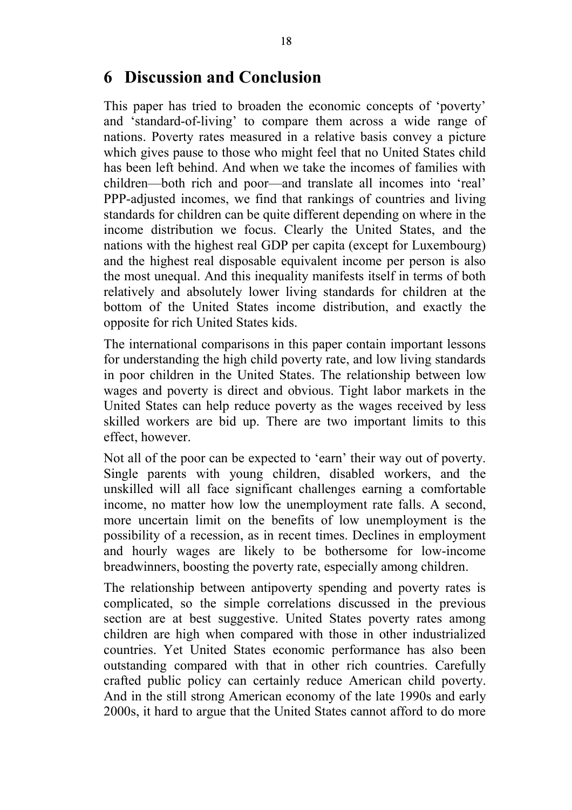## **6 Discussion and Conclusion**

This paper has tried to broaden the economic concepts of 'poverty' and 'standard-of-living' to compare them across a wide range of nations. Poverty rates measured in a relative basis convey a picture which gives pause to those who might feel that no United States child has been left behind. And when we take the incomes of families with children—both rich and poor—and translate all incomes into 'real' PPP-adjusted incomes, we find that rankings of countries and living standards for children can be quite different depending on where in the income distribution we focus. Clearly the United States, and the nations with the highest real GDP per capita (except for Luxembourg) and the highest real disposable equivalent income per person is also the most unequal. And this inequality manifests itself in terms of both relatively and absolutely lower living standards for children at the bottom of the United States income distribution, and exactly the opposite for rich United States kids.

The international comparisons in this paper contain important lessons for understanding the high child poverty rate, and low living standards in poor children in the United States. The relationship between low wages and poverty is direct and obvious. Tight labor markets in the United States can help reduce poverty as the wages received by less skilled workers are bid up. There are two important limits to this effect, however.

Not all of the poor can be expected to 'earn' their way out of poverty. Single parents with young children, disabled workers, and the unskilled will all face significant challenges earning a comfortable income, no matter how low the unemployment rate falls. A second, more uncertain limit on the benefits of low unemployment is the possibility of a recession, as in recent times. Declines in employment and hourly wages are likely to be bothersome for low-income breadwinners, boosting the poverty rate, especially among children.

The relationship between antipoverty spending and poverty rates is complicated, so the simple correlations discussed in the previous section are at best suggestive. United States poverty rates among children are high when compared with those in other industrialized countries. Yet United States economic performance has also been outstanding compared with that in other rich countries. Carefully crafted public policy can certainly reduce American child poverty. And in the still strong American economy of the late 1990s and early 2000s, it hard to argue that the United States cannot afford to do more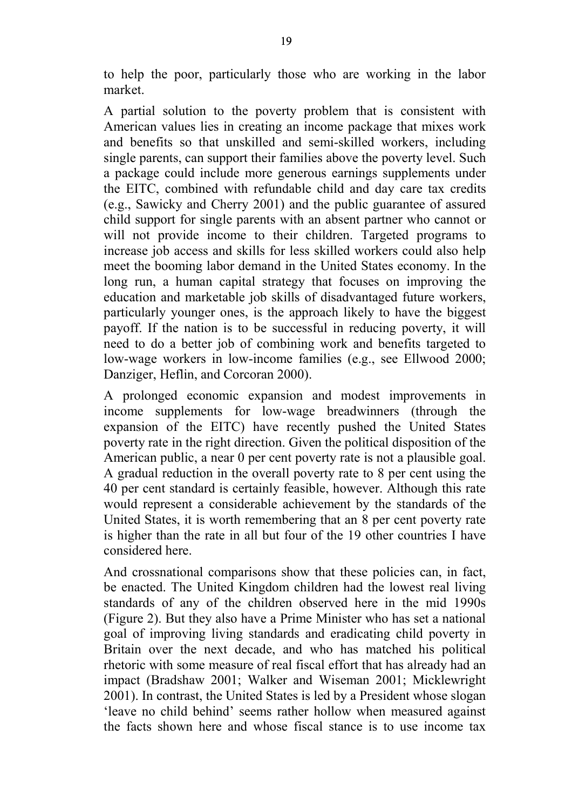to help the poor, particularly those who are working in the labor market.

A partial solution to the poverty problem that is consistent with American values lies in creating an income package that mixes work and benefits so that unskilled and semi-skilled workers, including single parents, can support their families above the poverty level. Such a package could include more generous earnings supplements under the EITC, combined with refundable child and day care tax credits (e.g., Sawicky and Cherry 2001) and the public guarantee of assured child support for single parents with an absent partner who cannot or will not provide income to their children. Targeted programs to increase job access and skills for less skilled workers could also help meet the booming labor demand in the United States economy. In the long run, a human capital strategy that focuses on improving the education and marketable job skills of disadvantaged future workers, particularly younger ones, is the approach likely to have the biggest payoff. If the nation is to be successful in reducing poverty, it will need to do a better job of combining work and benefits targeted to low-wage workers in low-income families (e.g., see Ellwood 2000; Danziger, Heflin, and Corcoran 2000).

A prolonged economic expansion and modest improvements in income supplements for low-wage breadwinners (through the expansion of the EITC) have recently pushed the United States poverty rate in the right direction. Given the political disposition of the American public, a near 0 per cent poverty rate is not a plausible goal. A gradual reduction in the overall poverty rate to 8 per cent using the 40 per cent standard is certainly feasible, however. Although this rate would represent a considerable achievement by the standards of the United States, it is worth remembering that an 8 per cent poverty rate is higher than the rate in all but four of the 19 other countries I have considered here.

And crossnational comparisons show that these policies can, in fact, be enacted. The United Kingdom children had the lowest real living standards of any of the children observed here in the mid 1990s (Figure 2). But they also have a Prime Minister who has set a national goal of improving living standards and eradicating child poverty in Britain over the next decade, and who has matched his political rhetoric with some measure of real fiscal effort that has already had an impact (Bradshaw 2001; Walker and Wiseman 2001; Micklewright 2001). In contrast, the United States is led by a President whose slogan 'leave no child behind' seems rather hollow when measured against the facts shown here and whose fiscal stance is to use income tax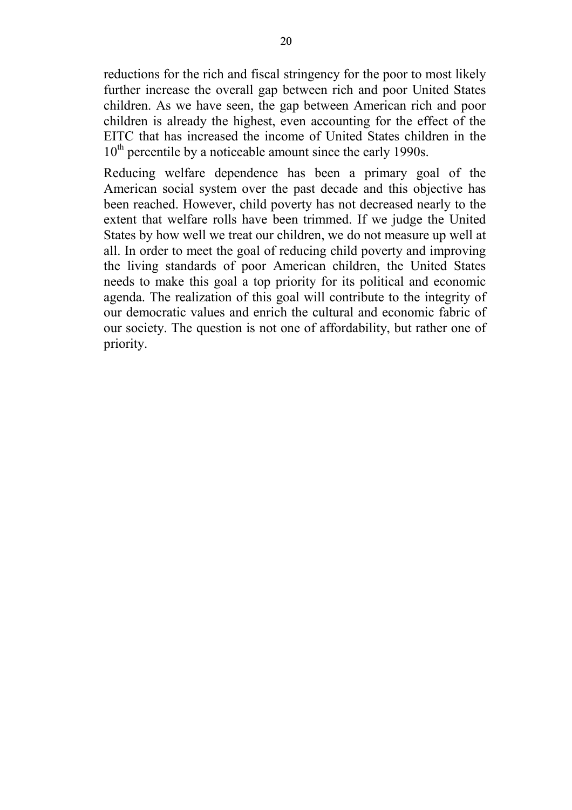reductions for the rich and fiscal stringency for the poor to most likely further increase the overall gap between rich and poor United States children. As we have seen, the gap between American rich and poor children is already the highest, even accounting for the effect of the EITC that has increased the income of United States children in the  $10<sup>th</sup>$  percentile by a noticeable amount since the early 1990s.

Reducing welfare dependence has been a primary goal of the American social system over the past decade and this objective has been reached. However, child poverty has not decreased nearly to the extent that welfare rolls have been trimmed. If we judge the United States by how well we treat our children, we do not measure up well at all. In order to meet the goal of reducing child poverty and improving the living standards of poor American children, the United States needs to make this goal a top priority for its political and economic agenda. The realization of this goal will contribute to the integrity of our democratic values and enrich the cultural and economic fabric of our society. The question is not one of affordability, but rather one of priority.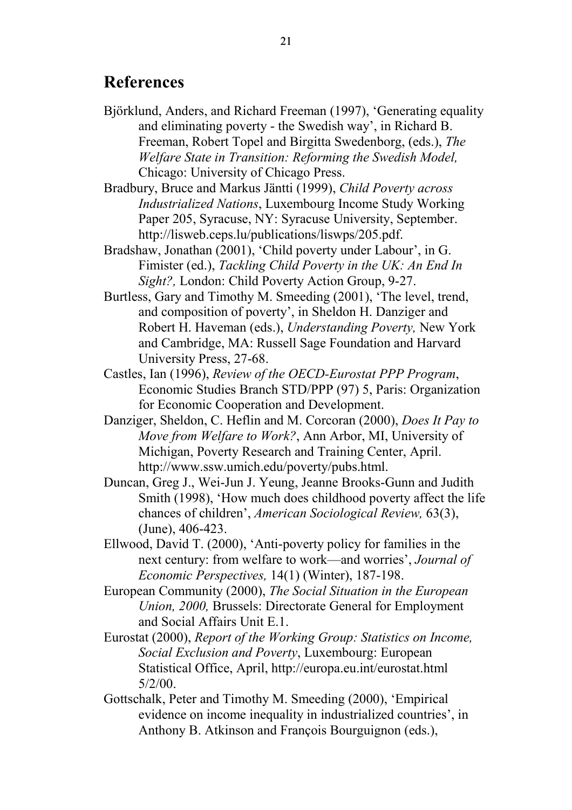### **References**

Björklund, Anders, and Richard Freeman (1997), 'Generating equality and eliminating poverty - the Swedish way', in Richard B. Freeman, Robert Topel and Birgitta Swedenborg, (eds.), *The Welfare State in Transition: Reforming the Swedish Model,*  Chicago: University of Chicago Press.

Bradbury, Bruce and Markus Jäntti (1999), *Child Poverty across Industrialized Nations*, Luxembourg Income Study Working Paper 205, Syracuse, NY: Syracuse University, September. http://lisweb.ceps.lu/publications/liswps/205.pdf.

Bradshaw, Jonathan (2001), 'Child poverty under Labour', in G. Fimister (ed.), *Tackling Child Poverty in the UK: An End In Sight?,* London: Child Poverty Action Group, 9-27.

- Burtless, Gary and Timothy M. Smeeding (2001), 'The level, trend, and composition of poverty', in Sheldon H. Danziger and Robert H. Haveman (eds.), *Understanding Poverty,* New York and Cambridge, MA: Russell Sage Foundation and Harvard University Press, 27-68.
- Castles, Ian (1996), *Review of the OECD-Eurostat PPP Program*, Economic Studies Branch STD/PPP (97) 5, Paris: Organization for Economic Cooperation and Development.
- Danziger, Sheldon, C. Heflin and M. Corcoran (2000), *Does It Pay to Move from Welfare to Work?*, Ann Arbor, MI, University of Michigan, Poverty Research and Training Center, April. http://www.ssw.umich.edu/poverty/pubs.html.
- Duncan, Greg J., Wei-Jun J. Yeung, Jeanne Brooks-Gunn and Judith Smith (1998), 'How much does childhood poverty affect the life chances of children', *American Sociological Review,* 63(3), (June), 406-423.
- Ellwood, David T. (2000), 'Anti-poverty policy for families in the next century: from welfare to work—and worries', *Journal of Economic Perspectives,* 14(1) (Winter), 187-198.
- European Community (2000), *The Social Situation in the European Union, 2000,* Brussels: Directorate General for Employment and Social Affairs Unit E.1.
- Eurostat (2000), *Report of the Working Group: Statistics on Income, Social Exclusion and Poverty*, Luxembourg: European Statistical Office, April, http://europa.eu.int/eurostat.html  $5/2/00$ .
- Gottschalk, Peter and Timothy M. Smeeding (2000), 'Empirical evidence on income inequality in industrialized countries', in Anthony B. Atkinson and François Bourguignon (eds.),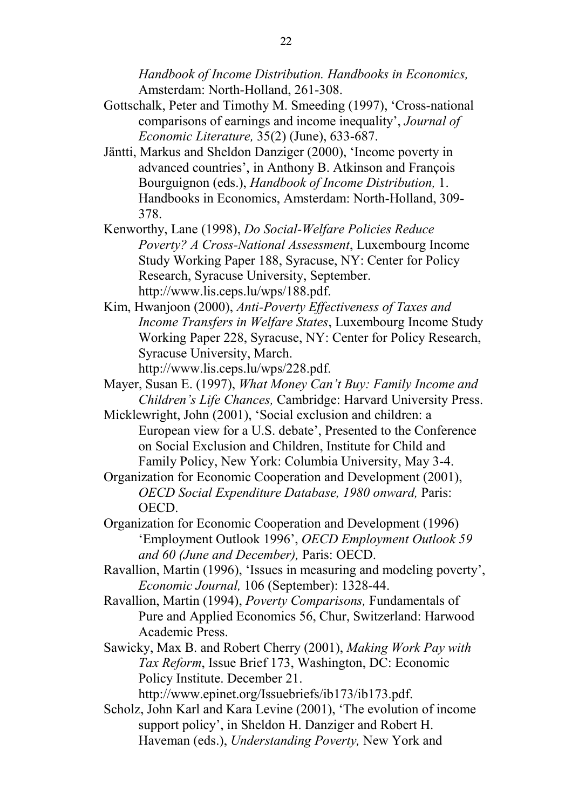*Handbook of Income Distribution. Handbooks in Economics,* Amsterdam: North-Holland, 261-308.

- Gottschalk, Peter and Timothy M. Smeeding (1997), 'Cross-national comparisons of earnings and income inequality', *Journal of Economic Literature,* 35(2) (June), 633-687.
- Jäntti, Markus and Sheldon Danziger (2000), 'Income poverty in advanced countries', in Anthony B. Atkinson and François Bourguignon (eds.), *Handbook of Income Distribution,* 1. Handbooks in Economics, Amsterdam: North-Holland, 309- 378.
- Kenworthy, Lane (1998), *Do Social-Welfare Policies Reduce Poverty? A Cross-National Assessment*, Luxembourg Income Study Working Paper 188, Syracuse, NY: Center for Policy Research, Syracuse University, September. http://www.lis.ceps.lu/wps/188.pdf.
- Kim, Hwanjoon (2000), *Anti-Poverty Effectiveness of Taxes and Income Transfers in Welfare States*, Luxembourg Income Study Working Paper 228, Syracuse, NY: Center for Policy Research, Syracuse University, March. http://www.lis.ceps.lu/wps/228.pdf.
- Mayer, Susan E. (1997), *What Money Can't Buy: Family Income and*
- *Children's Life Chances,* Cambridge: Harvard University Press.
- Micklewright, John (2001), 'Social exclusion and children: a European view for a U.S. debate', Presented to the Conference on Social Exclusion and Children, Institute for Child and Family Policy, New York: Columbia University, May 3-4.
- Organization for Economic Cooperation and Development (2001), *OECD Social Expenditure Database, 1980 onward,* Paris: OECD.
- Organization for Economic Cooperation and Development (1996) 'Employment Outlook 1996', *OECD Employment Outlook 59 and 60 (June and December),* Paris: OECD.
- Ravallion, Martin (1996), 'Issues in measuring and modeling poverty', *Economic Journal,* 106 (September): 1328-44.
- Ravallion, Martin (1994), *Poverty Comparisons,* Fundamentals of Pure and Applied Economics 56, Chur, Switzerland: Harwood Academic Press.
- Sawicky, Max B. and Robert Cherry (2001), *Making Work Pay with Tax Reform*, Issue Brief 173, Washington, DC: Economic Policy Institute. December 21.
	- http://www.epinet.org/Issuebriefs/ib173/ib173.pdf.
- Scholz, John Karl and Kara Levine (2001), 'The evolution of income support policy', in Sheldon H. Danziger and Robert H. Haveman (eds.), *Understanding Poverty,* New York and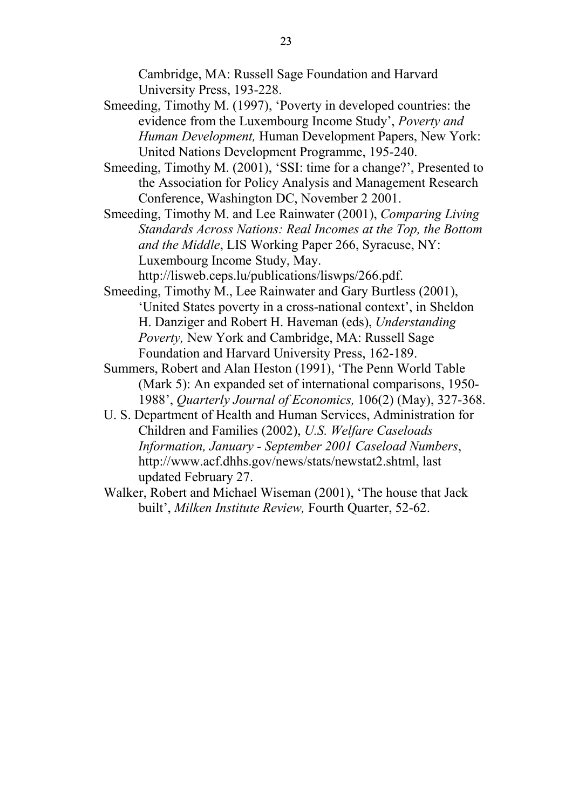Cambridge, MA: Russell Sage Foundation and Harvard University Press, 193-228.

- Smeeding, Timothy M. (1997), 'Poverty in developed countries: the evidence from the Luxembourg Income Study', *Poverty and Human Development,* Human Development Papers, New York: United Nations Development Programme, 195-240.
- Smeeding, Timothy M. (2001), 'SSI: time for a change?', Presented to the Association for Policy Analysis and Management Research Conference, Washington DC, November 2 2001.
- Smeeding, Timothy M. and Lee Rainwater (2001), *Comparing Living Standards Across Nations: Real Incomes at the Top, the Bottom and the Middle*, LIS Working Paper 266, Syracuse, NY: Luxembourg Income Study, May.

http://lisweb.ceps.lu/publications/liswps/266.pdf.

- Smeeding, Timothy M., Lee Rainwater and Gary Burtless (2001), 'United States poverty in a cross-national context', in Sheldon H. Danziger and Robert H. Haveman (eds), *Understanding Poverty,* New York and Cambridge, MA: Russell Sage Foundation and Harvard University Press, 162-189.
- Summers, Robert and Alan Heston (1991), 'The Penn World Table (Mark 5): An expanded set of international comparisons, 1950- 1988', *Quarterly Journal of Economics,* 106(2) (May), 327-368.
- U. S. Department of Health and Human Services, Administration for Children and Families (2002), *U.S. Welfare Caseloads Information, January - September 2001 Caseload Numbers*, http://www.acf.dhhs.gov/news/stats/newstat2.shtml, last updated February 27.
- Walker, Robert and Michael Wiseman (2001), 'The house that Jack built', *Milken Institute Review,* Fourth Quarter, 52-62.